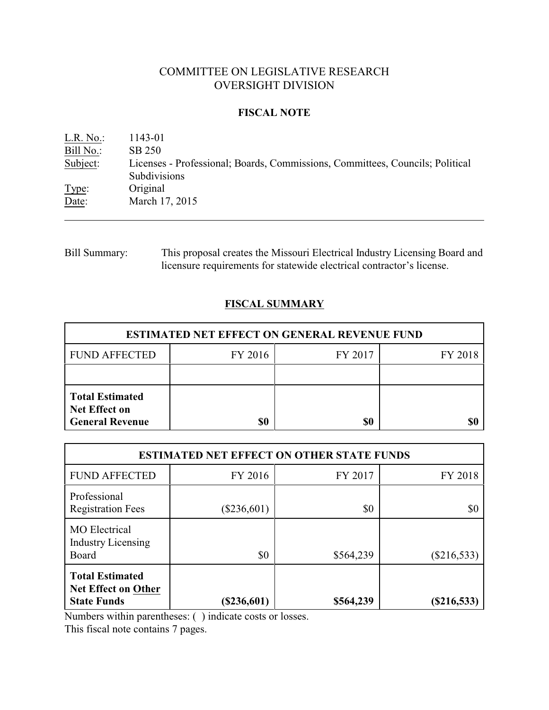# COMMITTEE ON LEGISLATIVE RESEARCH OVERSIGHT DIVISION

## **FISCAL NOTE**

L.R. No.: 1143-01 Bill No.: SB 250 Subject: Licenses - Professional; Boards, Commissions, Committees, Councils; Political Subdivisions Type: Original Date: March 17, 2015

Bill Summary: This proposal creates the Missouri Electrical Industry Licensing Board and licensure requirements for statewide electrical contractor's license.

## **FISCAL SUMMARY**

| <b>ESTIMATED NET EFFECT ON GENERAL REVENUE FUND</b>                      |         |         |         |  |
|--------------------------------------------------------------------------|---------|---------|---------|--|
| <b>FUND AFFECTED</b>                                                     | FY 2016 | FY 2017 | FY 2018 |  |
|                                                                          |         |         |         |  |
| <b>Total Estimated</b><br><b>Net Effect on</b><br><b>General Revenue</b> | \$0     | \$0     |         |  |

| <b>ESTIMATED NET EFFECT ON OTHER STATE FUNDS</b>                           |               |           |               |  |
|----------------------------------------------------------------------------|---------------|-----------|---------------|--|
| <b>FUND AFFECTED</b>                                                       | FY 2016       | FY 2017   | FY 2018       |  |
| Professional<br><b>Registration Fees</b>                                   | $(\$236,601)$ | \$0       | \$0           |  |
| <b>MO</b> Electrical<br><b>Industry Licensing</b><br>Board                 | \$0           | \$564,239 | $(\$216,533)$ |  |
| <b>Total Estimated</b><br><b>Net Effect on Other</b><br><b>State Funds</b> | $(\$236,601)$ | \$564,239 | $(\$216,533)$ |  |

Numbers within parentheses: ( ) indicate costs or losses.

This fiscal note contains 7 pages.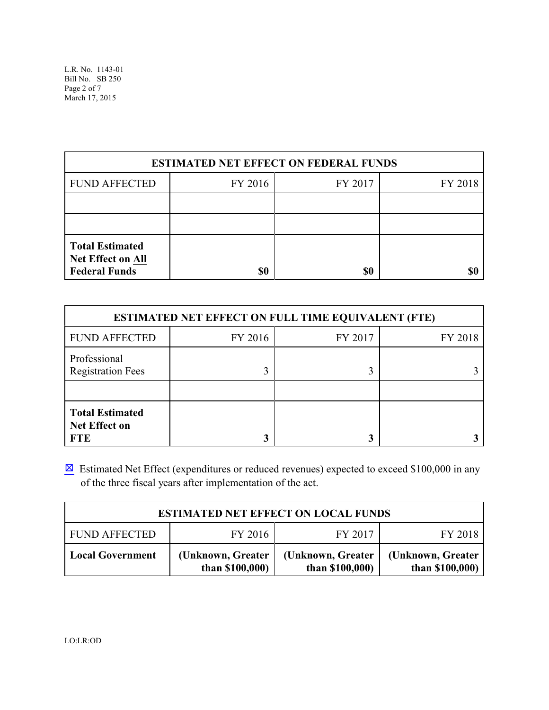L.R. No. 1143-01 Bill No. SB 250 Page 2 of 7 March 17, 2015

| <b>ESTIMATED NET EFFECT ON FEDERAL FUNDS</b>                               |         |         |         |  |
|----------------------------------------------------------------------------|---------|---------|---------|--|
| <b>FUND AFFECTED</b>                                                       | FY 2016 | FY 2017 | FY 2018 |  |
|                                                                            |         |         |         |  |
|                                                                            |         |         |         |  |
| <b>Total Estimated</b><br><b>Net Effect on All</b><br><b>Federal Funds</b> | \$0     | \$0     |         |  |

| <b>ESTIMATED NET EFFECT ON FULL TIME EQUIVALENT (FTE)</b>    |         |         |         |  |
|--------------------------------------------------------------|---------|---------|---------|--|
| <b>FUND AFFECTED</b>                                         | FY 2016 | FY 2017 | FY 2018 |  |
| Professional<br><b>Registration Fees</b>                     | 3       |         |         |  |
| <b>Total Estimated</b><br><b>Net Effect on</b><br><b>FTE</b> | 3       |         |         |  |

 $\boxtimes$  Estimated Net Effect (expenditures or reduced revenues) expected to exceed \$100,000 in any of the three fiscal years after implementation of the act.

| <b>ESTIMATED NET EFFECT ON LOCAL FUNDS</b> |                                      |                                       |                                      |
|--------------------------------------------|--------------------------------------|---------------------------------------|--------------------------------------|
| <b>FUND AFFECTED</b>                       | FY 2016                              | FY 2017                               | FY 2018                              |
| <b>Local Government</b>                    | (Unknown, Greater<br>than $$100,000$ | (Unknown, Greater)<br>than $$100,000$ | (Unknown, Greater<br>than \$100,000) |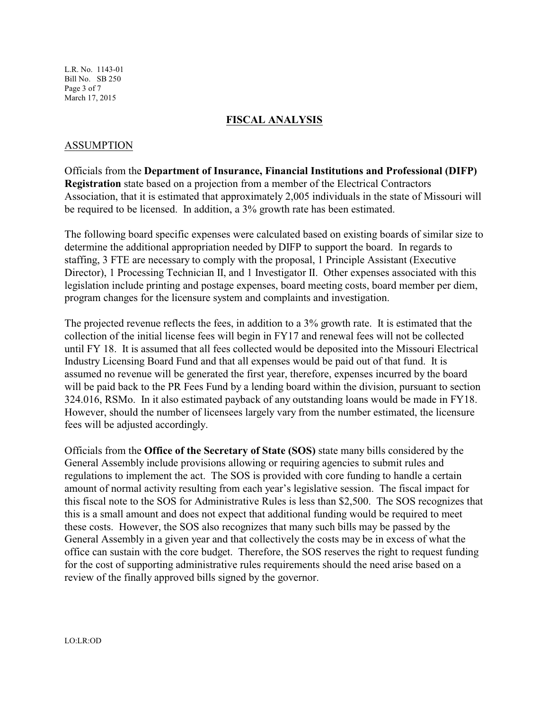L.R. No. 1143-01 Bill No. SB 250 Page 3 of 7 March 17, 2015

#### **FISCAL ANALYSIS**

#### ASSUMPTION

Officials from the **Department of Insurance, Financial Institutions and Professional (DIFP) Registration** state based on a projection from a member of the Electrical Contractors Association, that it is estimated that approximately 2,005 individuals in the state of Missouri will be required to be licensed. In addition, a 3% growth rate has been estimated.

The following board specific expenses were calculated based on existing boards of similar size to determine the additional appropriation needed by DIFP to support the board. In regards to staffing, 3 FTE are necessary to comply with the proposal, 1 Principle Assistant (Executive Director), 1 Processing Technician II, and 1 Investigator II. Other expenses associated with this legislation include printing and postage expenses, board meeting costs, board member per diem, program changes for the licensure system and complaints and investigation.

The projected revenue reflects the fees, in addition to a 3% growth rate. It is estimated that the collection of the initial license fees will begin in FY17 and renewal fees will not be collected until FY 18. It is assumed that all fees collected would be deposited into the Missouri Electrical Industry Licensing Board Fund and that all expenses would be paid out of that fund. It is assumed no revenue will be generated the first year, therefore, expenses incurred by the board will be paid back to the PR Fees Fund by a lending board within the division, pursuant to section 324.016, RSMo. In it also estimated payback of any outstanding loans would be made in FY18. However, should the number of licensees largely vary from the number estimated, the licensure fees will be adjusted accordingly.

Officials from the **Office of the Secretary of State (SOS)** state many bills considered by the General Assembly include provisions allowing or requiring agencies to submit rules and regulations to implement the act. The SOS is provided with core funding to handle a certain amount of normal activity resulting from each year's legislative session. The fiscal impact for this fiscal note to the SOS for Administrative Rules is less than \$2,500. The SOS recognizes that this is a small amount and does not expect that additional funding would be required to meet these costs. However, the SOS also recognizes that many such bills may be passed by the General Assembly in a given year and that collectively the costs may be in excess of what the office can sustain with the core budget. Therefore, the SOS reserves the right to request funding for the cost of supporting administrative rules requirements should the need arise based on a review of the finally approved bills signed by the governor.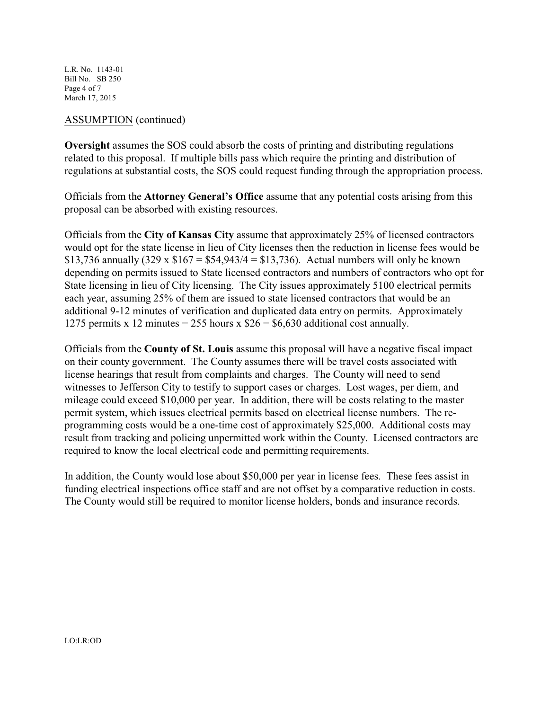L.R. No. 1143-01 Bill No. SB 250 Page 4 of 7 March 17, 2015

## ASSUMPTION (continued)

**Oversight** assumes the SOS could absorb the costs of printing and distributing regulations related to this proposal. If multiple bills pass which require the printing and distribution of regulations at substantial costs, the SOS could request funding through the appropriation process.

Officials from the **Attorney General's Office** assume that any potential costs arising from this proposal can be absorbed with existing resources.

Officials from the **City of Kansas City** assume that approximately 25% of licensed contractors would opt for the state license in lieu of City licenses then the reduction in license fees would be \$13,736 annually  $(329 \times $167 = $54,943/4 = $13,736)$ . Actual numbers will only be known depending on permits issued to State licensed contractors and numbers of contractors who opt for State licensing in lieu of City licensing. The City issues approximately 5100 electrical permits each year, assuming 25% of them are issued to state licensed contractors that would be an additional 9-12 minutes of verification and duplicated data entry on permits. Approximately 1275 permits x 12 minutes = 255 hours x  $$26 = $6,630$  additional cost annually.

Officials from the **County of St. Louis** assume this proposal will have a negative fiscal impact on their county government. The County assumes there will be travel costs associated with license hearings that result from complaints and charges. The County will need to send witnesses to Jefferson City to testify to support cases or charges. Lost wages, per diem, and mileage could exceed \$10,000 per year. In addition, there will be costs relating to the master permit system, which issues electrical permits based on electrical license numbers. The reprogramming costs would be a one-time cost of approximately \$25,000. Additional costs may result from tracking and policing unpermitted work within the County. Licensed contractors are required to know the local electrical code and permitting requirements.

In addition, the County would lose about \$50,000 per year in license fees. These fees assist in funding electrical inspections office staff and are not offset by a comparative reduction in costs. The County would still be required to monitor license holders, bonds and insurance records.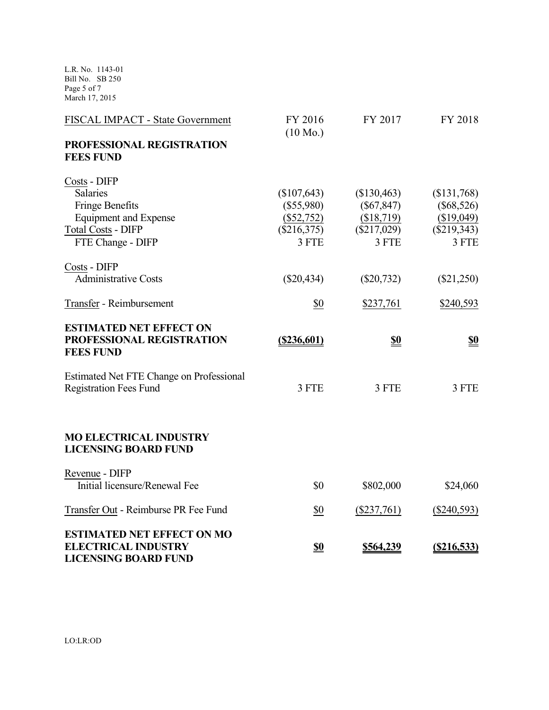L.R. No. 1143-01 Bill No. SB 250 Page 5 of 7 March 17, 2015

| FISCAL IMPACT - State Government                                                                                                     | FY 2016<br>$(10 \text{ Mo.})$                                         | FY 2017                                                         | FY 2018                                                             |
|--------------------------------------------------------------------------------------------------------------------------------------|-----------------------------------------------------------------------|-----------------------------------------------------------------|---------------------------------------------------------------------|
| PROFESSIONAL REGISTRATION<br><b>FEES FUND</b>                                                                                        |                                                                       |                                                                 |                                                                     |
| Costs - DIFP<br>Salaries<br><b>Fringe Benefits</b><br><b>Equipment and Expense</b><br><b>Total Costs - DIFP</b><br>FTE Change - DIFP | (\$107,643)<br>$(\$55,980)$<br>$(\$52,752)$<br>$(\$216,375)$<br>3 FTE | \$130,463<br>$(\$67,847)$<br>(\$18,719)<br>(\$217,029)<br>3 FTE | (\$131,768)<br>$(\$68,526)$<br>(\$19,049)<br>$(\$219,343)$<br>3 FTE |
| Costs - DIFP<br><b>Administrative Costs</b>                                                                                          | $(\$20,434)$                                                          | $(\$20,732)$                                                    | $(\$21,250)$                                                        |
| Transfer - Reimbursement                                                                                                             | \$0                                                                   | \$237,761                                                       | \$240,593                                                           |
| <b>ESTIMATED NET EFFECT ON</b><br>PROFESSIONAL REGISTRATION<br><b>FEES FUND</b>                                                      | $($ \$236,601)                                                        | <u>\$0</u>                                                      | <u>\$0</u>                                                          |
| <b>Estimated Net FTE Change on Professional</b><br><b>Registration Fees Fund</b>                                                     | 3 FTE                                                                 | 3 FTE                                                           | 3 FTE                                                               |
| <b>MO ELECTRICAL INDUSTRY</b><br><b>LICENSING BOARD FUND</b>                                                                         |                                                                       |                                                                 |                                                                     |
| Revenue - DIFP<br>Initial licensure/Renewal Fee                                                                                      | \$0                                                                   | \$802,000                                                       | \$24,060                                                            |
| Transfer Out - Reimburse PR Fee Fund                                                                                                 | \$0                                                                   | $(\$237,761)$                                                   | $(\$240,593)$                                                       |
| <b>ESTIMATED NET EFFECT ON MO</b><br><b>ELECTRICAL INDUSTRY</b><br><b>LICENSING BOARD FUND</b>                                       | <u>\$0</u>                                                            | \$564,239                                                       | (S216, 533)                                                         |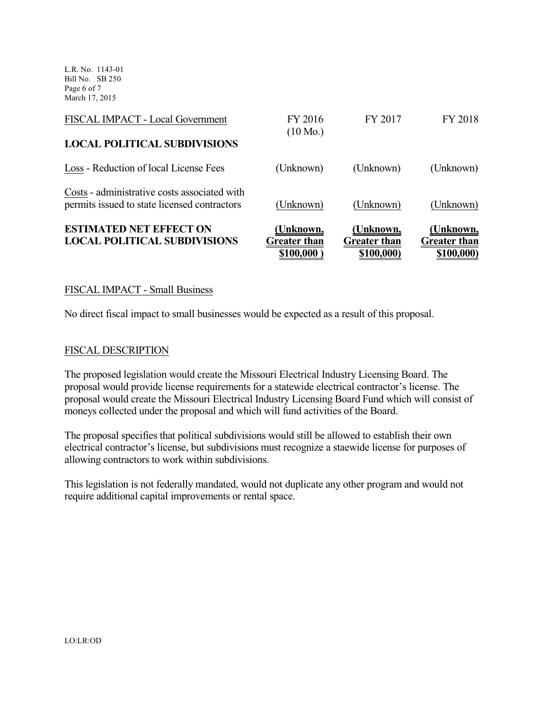L.R. No. 1143-01 Bill No. SB 250 Page 6 of 7 March 17, 2015

| <b>ESTIMATED NET EFFECT ON</b><br><b>LOCAL POLITICAL SUBDIVISIONS</b>                        | <u>(Unknown,</u><br><b>Greater than</b><br>\$100,000 | (Unknown,<br><b>Greater than</b><br>\$100,000) | (Unknown,<br><b>Greater than</b><br>\$100,000) |
|----------------------------------------------------------------------------------------------|------------------------------------------------------|------------------------------------------------|------------------------------------------------|
| Costs - administrative costs associated with<br>permits issued to state licensed contractors | (Unknown)                                            | (Unknown)                                      | (Unknown)                                      |
| Loss - Reduction of local License Fees                                                       | (Unknown)                                            | (Unknown)                                      | (Unknown)                                      |
| <b>LOCAL POLITICAL SUBDIVISIONS</b>                                                          | $(10 \text{ Mo.})$                                   |                                                |                                                |
| FISCAL IMPACT - Local Government                                                             | FY 2016                                              | FY 2017                                        | FY 2018                                        |

## FISCAL IMPACT - Small Business

No direct fiscal impact to small businesses would be expected as a result of this proposal.

#### FISCAL DESCRIPTION

The proposed legislation would create the Missouri Electrical Industry Licensing Board. The proposal would provide license requirements for a statewide electrical contractor's license. The proposal would create the Missouri Electrical Industry Licensing Board Fund which will consist of moneys collected under the proposal and which will fund activities of the Board.

The proposal specifies that political subdivisions would still be allowed to establish their own electrical contractor's license, but subdivisions must recognize a staewide license for purposes of allowing contractors to work within subdivisions.

This legislation is not federally mandated, would not duplicate any other program and would not require additional capital improvements or rental space.